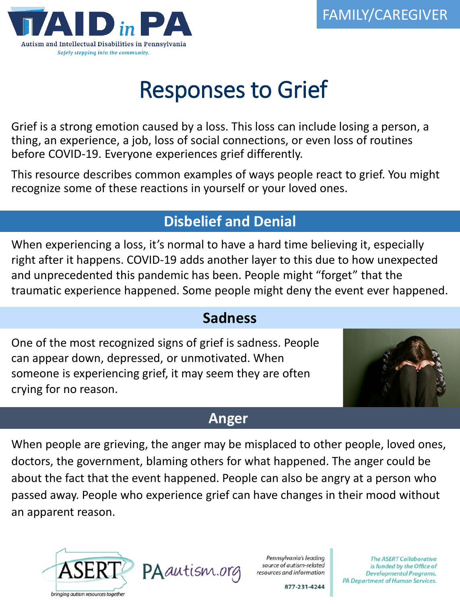

# Responses to Grief

Grief is a strong emotion caused by a loss. This loss can include losing a person, a thing, an experience, a job, loss of social connections, or even loss of routines before COVID-19. Everyone experiences grief differently.

This resource describes common examples of ways people react to grief. You might recognize some of these reactions in yourself or your loved ones.

# **Disbelief and Denial**

When experiencing a loss, it's normal to have a hard time believing it, especially right after it happens. COVID-19 adds another layer to this due to how unexpected and unprecedented this pandemic has been. People might "forget" that the traumatic experience happened. Some people might deny the event ever happened.

#### **Sadness**

One of the most recognized signs of grief is sadness. People can appear down, depressed, or unmotivated. When someone is experiencing grief, it may seem they are often crying for no reason.



#### **Anger**

When people are grieving, the anger may be misplaced to other people, loved ones, doctors, the government, blaming others for what happened. The anger could be about the fact that the event happened. People can also be angry at a person who passed away. People who experience grief can have changes in their mood without an apparent reason.





Pennsylvania's leading source of autism-related resources and information

**The ASERT Collaborative** is funded by the Office of Developmental Programs, PA Department of Human Services.

877-231-4244